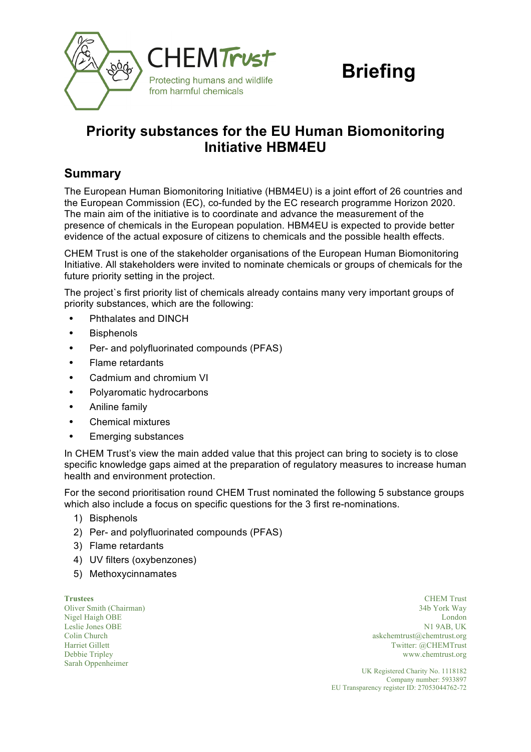

# **Briefing**

# **Priority substances for the EU Human Biomonitoring Initiative HBM4EU**

# **Summary**

The European Human Biomonitoring Initiative (HBM4EU) is a joint effort of 26 countries and the European Commission (EC), co-funded by the EC research programme Horizon 2020. The main aim of the initiative is to coordinate and advance the measurement of the presence of chemicals in the European population. HBM4EU is expected to provide better evidence of the actual exposure of citizens to chemicals and the possible health effects.

CHEM Trust is one of the stakeholder organisations of the European Human Biomonitoring Initiative. All stakeholders were invited to nominate chemicals or groups of chemicals for the future priority setting in the project.

The project`s first priority list of chemicals already contains many very important groups of priority substances, which are the following:

- **•** Phthalates and DINCH
- **•** Bisphenols
- **•** Per- and polyfluorinated compounds (PFAS)
- **•** Flame retardants
- **•** Cadmium and chromium VI
- **•** Polyaromatic hydrocarbons
- **•** Aniline family
- **•** Chemical mixtures
- **•** Emerging substances

In CHEM Trust's view the main added value that this project can bring to society is to close specific knowledge gaps aimed at the preparation of regulatory measures to increase human health and environment protection.

For the second prioritisation round CHEM Trust nominated the following 5 substance groups which also include a focus on specific questions for the 3 first re-nominations.

- 1) Bisphenols
- 2) Per- and polyfluorinated compounds (PFAS)
- 3) Flame retardants
- 4) UV filters (oxybenzones)
- 5) Methoxycinnamates

Leslie Jones OBE Colin Church Harriet Gillett Debbie Tripley Sarah Oppenheimer

**Trustees** CHEM Trust Oliver Smith (Chairman) 34b York Way Nigel Haigh OBE London N1 9AB, UK askchemtrust@chemtrust.org Twitter: @CHEMTrust www.chemtrust.org

> UK Registered Charity No. 1118182 Company number: 5933897 EU Transparency register ID: 27053044762-72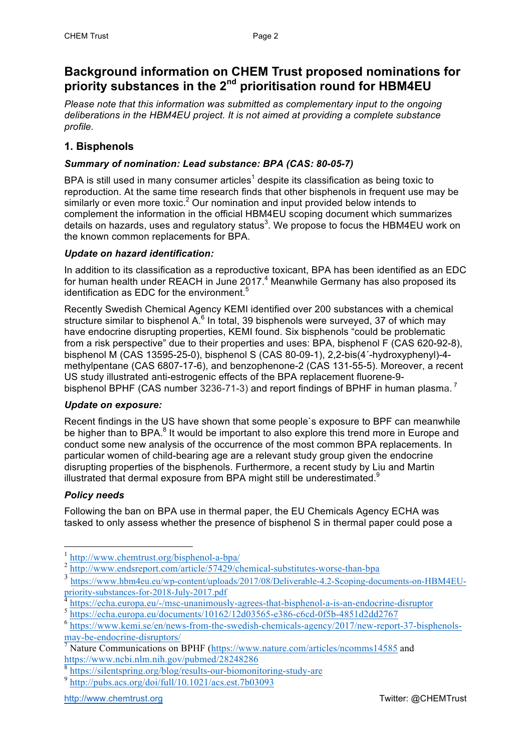# **Background information on CHEM Trust proposed nominations for priority substances in the 2nd prioritisation round for HBM4EU**

*Please note that this information was submitted as complementary input to the ongoing deliberations in the HBM4EU project. It is not aimed at providing a complete substance profile.*

# **1. Bisphenols**

# *Summary of nomination: Lead substance: BPA (CAS: 80-05-7)*

BPA is still used in many consumer articles<sup>1</sup> despite its classification as being toxic to reproduction. At the same time research finds that other bisphenols in frequent use may be similarly or even more toxic.<sup>2</sup> Our nomination and input provided below intends to complement the information in the official HBM4EU scoping document which summarizes details on hazards, uses and regulatory status<sup>3</sup>. We propose to focus the HBM4EU work on the known common replacements for BPA.

## *Update on hazard identification:*

In addition to its classification as a reproductive toxicant, BPA has been identified as an EDC for human health under REACH in June  $2017<sup>4</sup>$  Meanwhile Germany has also proposed its identification as EDC for the environment. $5$ 

Recently Swedish Chemical Agency KEMI identified over 200 substances with a chemical structure similar to bisphenol  $A^6$  In total, 39 bisphenols were surveyed, 37 of which may have endocrine disrupting properties, KEMI found. Six bisphenols "could be problematic from a risk perspective" due to their properties and uses: BPA, bisphenol F (CAS 620-92-8), bisphenol M (CAS 13595-25-0), bisphenol S (CAS 80-09-1), 2,2-bis(4´-hydroxyphenyl)-4 methylpentane (CAS 6807-17-6), and benzophenone-2 (CAS 131-55-5). Moreover, a recent US study illustrated anti-estrogenic effects of the BPA replacement fluorene-9 bisphenol BPHF (CAS number 3236-71-3) and report findings of BPHF in human plasma.<sup>7</sup>

## *Update on exposure:*

Recent findings in the US have shown that some people`s exposure to BPF can meanwhile be higher than to BPA. $<sup>8</sup>$  It would be important to also explore this trend more in Europe and</sup> conduct some new analysis of the occurrence of the most common BPA replacements. In particular women of child-bearing age are a relevant study group given the endocrine disrupting properties of the bisphenols. Furthermore, a recent study by Liu and Martin illustrated that dermal exposure from BPA might still be underestimated. $9$ 

# *Policy needs*

Following the ban on BPA use in thermal paper, the EU Chemicals Agency ECHA was tasked to only assess whether the presence of bisphenol S in thermal paper could pose a

 <sup>1</sup> http://www.chemtrust.org/bisphenol-a-bpa/

http://www.endsreport.com/article/57429/chemical-substitutes-worse-than-bpa

<sup>3</sup> https://www.hbm4eu.eu/wp-content/uploads/2017/08/Deliverable-4.2-Scoping-documents-on-HBM4EUpriority-substances-for-2018-July-2017.pdf

https://echa.europa.eu/-/msc-unanimously-agrees-that-bisphenol-a-is-an-endocrine-disruptor

<sup>5</sup> https://echa.europa.eu/documents/10162/12d03565-e386-c6cd-0f5b-4851d2dd2767

<sup>6</sup> https://www.kemi.se/en/news-from-the-swedish-chemicals-agency/2017/new-report-37-bisphenolsmay-be-endocrine-disruptors/

Nature Communications on BPHF (https://www.nature.com/articles/ncomms14585 and https://www.ncbi.nlm.nih.gov/pubmed/28248286

<sup>8</sup> https://silentspring.org/blog/results-our-biomonitoring-study-are

<sup>9</sup> http://pubs.acs.org/doi/full/10.1021/acs.est.7b03093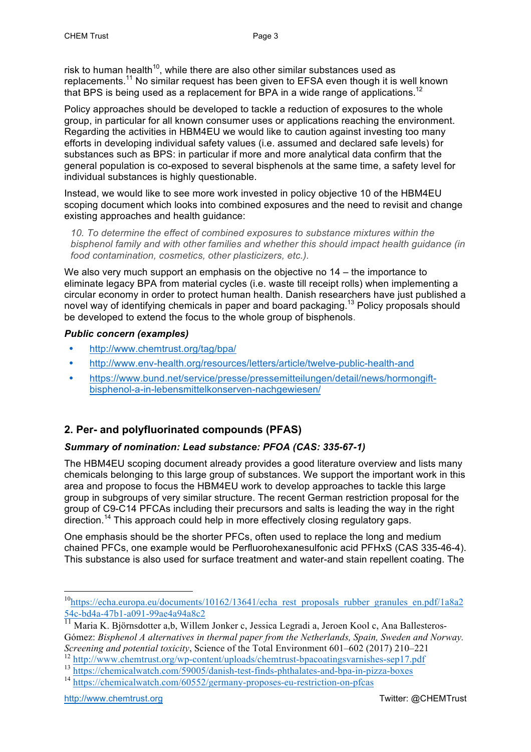risk to human health $10$ , while there are also other similar substances used as replacements. $^{11}$  No similar request has been given to EFSA even though it is well known that BPS is being used as a replacement for BPA in a wide range of applications.<sup>12</sup>

Policy approaches should be developed to tackle a reduction of exposures to the whole group, in particular for all known consumer uses or applications reaching the environment. Regarding the activities in HBM4EU we would like to caution against investing too many efforts in developing individual safety values (i.e. assumed and declared safe levels) for substances such as BPS: in particular if more and more analytical data confirm that the general population is co-exposed to several bisphenols at the same time, a safety level for individual substances is highly questionable.

Instead, we would like to see more work invested in policy objective 10 of the HBM4EU scoping document which looks into combined exposures and the need to revisit and change existing approaches and health guidance:

*10. To determine the effect of combined exposures to substance mixtures within the bisphenol family and with other families and whether this should impact health guidance (in food contamination, cosmetics, other plasticizers, etc.).*

We also very much support an emphasis on the objective no 14 – the importance to eliminate legacy BPA from material cycles (i.e. waste till receipt rolls) when implementing a circular economy in order to protect human health. Danish researchers have just published a novel way of identifying chemicals in paper and board packaging.13 Policy proposals should be developed to extend the focus to the whole group of bisphenols.

#### *Public concern (examples)*

- **•** http://www.chemtrust.org/tag/bpa/
- **•** http://www.env-health.org/resources/letters/article/twelve-public-health-and
- **•** https://www.bund.net/service/presse/pressemitteilungen/detail/news/hormongiftbisphenol-a-in-lebensmittelkonserven-nachgewiesen/

# **2. Per- and polyfluorinated compounds (PFAS)**

## *Summary of nomination: Lead substance: PFOA (CAS: 335-67-1)*

The HBM4EU scoping document already provides a good literature overview and lists many chemicals belonging to this large group of substances. We support the important work in this area and propose to focus the HBM4EU work to develop approaches to tackle this large group in subgroups of very similar structure. The recent German restriction proposal for the group of C9-C14 PFCAs including their precursors and salts is leading the way in the right direction.<sup>14</sup> This approach could help in more effectively closing regulatory gaps.

One emphasis should be the shorter PFCs, often used to replace the long and medium chained PFCs, one example would be Perfluorohexanesulfonic acid PFHxS (CAS 335-46-4). This substance is also used for surface treatment and water-and stain repellent coating. The

http://www.chemtrust.org **Twitter: @CHEMTrust** 

<sup>&</sup>lt;sup>10</sup>https://echa.europa.eu/documents/10162/13641/echa\_rest\_proposals\_rubber\_granules\_en.pdf/1a8a2 54c-bd4a-47b1-a091-99ae4a94a8c2

<sup>&</sup>lt;sup>11</sup> Maria K. Björnsdotter a,b, Willem Jonker c, Jessica Legradi a, Jeroen Kool c, Ana Ballesteros-Gómez: *Bisphenol A alternatives in thermal paper from the Netherlands, Spain, Sweden and Norway. Screening and potential toxicity*, Science of the Total Environment 601–602 (2017) 210–221

<sup>12</sup> http://www.chemtrust.org/wp-content/uploads/chemtrust-bpacoatingsvarnishes-sep17.pdf

<sup>&</sup>lt;sup>13</sup> https://chemicalwatch.com/59005/danish-test-finds-phthalates-and-bpa-in-pizza-boxes

<sup>&</sup>lt;sup>14</sup> https://chemicalwatch.com/60552/germany-proposes-eu-restriction-on-pfcas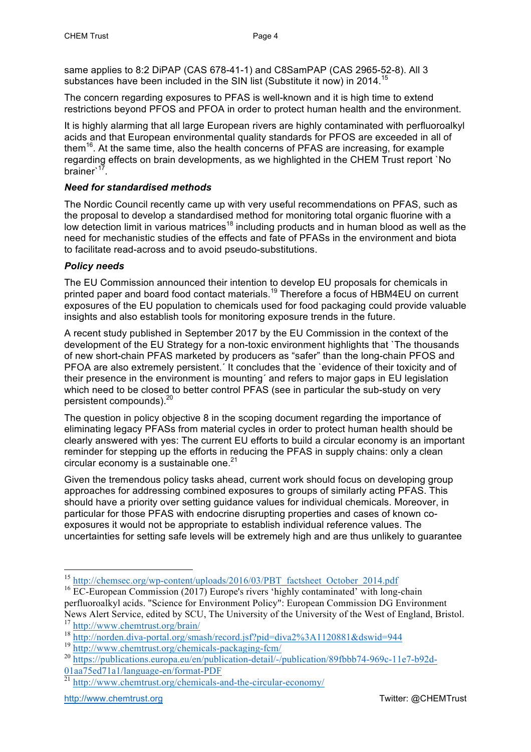same applies to 8:2 DiPAP (CAS 678-41-1) and C8SamPAP (CAS 2965-52-8). All 3 substances have been included in the SIN list (Substitute it now) in 2014.<sup>15</sup>

The concern regarding exposures to PFAS is well-known and it is high time to extend restrictions beyond PFOS and PFOA in order to protect human health and the environment.

It is highly alarming that all large European rivers are highly contaminated with perfluoroalkyl acids and that European environmental quality standards for PFOS are exceeded in all of them<sup>16</sup>. At the same time, also the health concerns of PFAS are increasing, for example regarding effects on brain developments, as we highlighted in the CHEM Trust report `No brainer<sup>17</sup>.

#### *Need for standardised methods*

The Nordic Council recently came up with very useful recommendations on PFAS, such as the proposal to develop a standardised method for monitoring total organic fluorine with a low detection limit in various matrices<sup>18</sup> including products and in human blood as well as the need for mechanistic studies of the effects and fate of PFASs in the environment and biota to facilitate read-across and to avoid pseudo-substitutions.

#### *Policy needs*

The EU Commission announced their intention to develop EU proposals for chemicals in printed paper and board food contact materials.<sup>19</sup> Therefore a focus of HBM4EU on current exposures of the EU population to chemicals used for food packaging could provide valuable insights and also establish tools for monitoring exposure trends in the future.

A recent study published in September 2017 by the EU Commission in the context of the development of the EU Strategy for a non-toxic environment highlights that `The thousands of new short-chain PFAS marketed by producers as "safer" than the long-chain PFOS and PFOA are also extremely persistent.´ It concludes that the `evidence of their toxicity and of their presence in the environment is mounting´ and refers to major gaps in EU legislation which need to be closed to better control PFAS (see in particular the sub-study on very persistent compounds).20

The question in policy objective 8 in the scoping document regarding the importance of eliminating legacy PFASs from material cycles in order to protect human health should be clearly answered with yes: The current EU efforts to build a circular economy is an important reminder for stepping up the efforts in reducing the PFAS in supply chains: only a clean circular economy is a sustainable one. $21$ 

Given the tremendous policy tasks ahead, current work should focus on developing group approaches for addressing combined exposures to groups of similarly acting PFAS. This should have a priority over setting guidance values for individual chemicals. Moreover, in particular for those PFAS with endocrine disrupting properties and cases of known coexposures it would not be appropriate to establish individual reference values. The uncertainties for setting safe levels will be extremely high and are thus unlikely to guarantee

<sup>&</sup>lt;sup>15</sup> http://chemsec.org/wp-content/uploads/2016/03/PBT\_factsheet\_October\_2014.pdf

<sup>&</sup>lt;sup>16</sup> EC-European Commission (2017) Europe's rivers 'highly contaminated' with long-chain perfluoroalkyl acids. "Science for Environment Policy": European Commission DG Environment News Alert Service, edited by SCU, The University of the University of the West of England, Bristol. <sup>17</sup> http://<u>www.chemtrust.org/brain/</u>

<sup>18</sup> http://norden.diva-portal.org/smash/record.jsf?pid=diva2%3A1120881&dswid=944

<sup>19</sup> http://www.chemtrust.org/chemicals-packaging-fcm/

<sup>&</sup>lt;sup>20</sup> https://publications.europa.eu/en/publication-detail/-/publication/89fbbb74-969c-11e7-b92d-01aa75ed71a1/language-en/format-PDF

<sup>&</sup>lt;sup>21</sup> http://www.chemtrust.org/chemicals-and-the-circular-economy/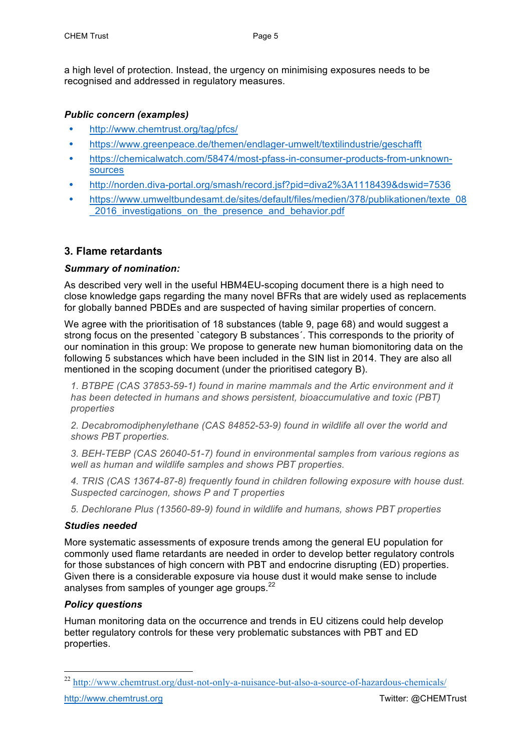a high level of protection. Instead, the urgency on minimising exposures needs to be recognised and addressed in regulatory measures.

#### *Public concern (examples)*

- **•** http://www.chemtrust.org/tag/pfcs/
- **•** https://www.greenpeace.de/themen/endlager-umwelt/textilindustrie/geschafft
- **•** https://chemicalwatch.com/58474/most-pfass-in-consumer-products-from-unknownsources
- **•** http://norden.diva-portal.org/smash/record.jsf?pid=diva2%3A1118439&dswid=7536
- **•** https://www.umweltbundesamt.de/sites/default/files/medien/378/publikationen/texte\_08 2016 investigations on the presence and behavior.pdf

## **3. Flame retardants**

#### *Summary of nomination:*

As described very well in the useful HBM4EU-scoping document there is a high need to close knowledge gaps regarding the many novel BFRs that are widely used as replacements for globally banned PBDEs and are suspected of having similar properties of concern.

We agree with the prioritisation of 18 substances (table 9, page 68) and would suggest a strong focus on the presented `category B substances´. This corresponds to the priority of our nomination in this group: We propose to generate new human biomonitoring data on the following 5 substances which have been included in the SIN list in 2014. They are also all mentioned in the scoping document (under the prioritised category B).

*1. BTBPE (CAS 37853-59-1) found in marine mammals and the Artic environment and it has been detected in humans and shows persistent, bioaccumulative and toxic (PBT) properties*

*2. Decabromodiphenylethane (CAS 84852-53-9) found in wildlife all over the world and shows PBT properties.*

*3. BEH-TEBP (CAS 26040-51-7) found in environmental samples from various regions as well as human and wildlife samples and shows PBT properties.*

*4. TRIS (CAS 13674-87-8) frequently found in children following exposure with house dust. Suspected carcinogen, shows P and T properties*

*5. Dechlorane Plus (13560-89-9) found in wildlife and humans, shows PBT properties* 

#### *Studies needed*

More systematic assessments of exposure trends among the general EU population for commonly used flame retardants are needed in order to develop better regulatory controls for those substances of high concern with PBT and endocrine disrupting (ED) properties. Given there is a considerable exposure via house dust it would make sense to include analyses from samples of younger age groups. $^{22}$ 

#### *Policy questions*

Human monitoring data on the occurrence and trends in EU citizens could help develop better regulatory controls for these very problematic substances with PBT and ED properties.

<sup>&</sup>lt;sup>22</sup> http://www.chemtrust.org/dust-not-only-a-nuisance-but-also-a-source-of-hazardous-chemicals/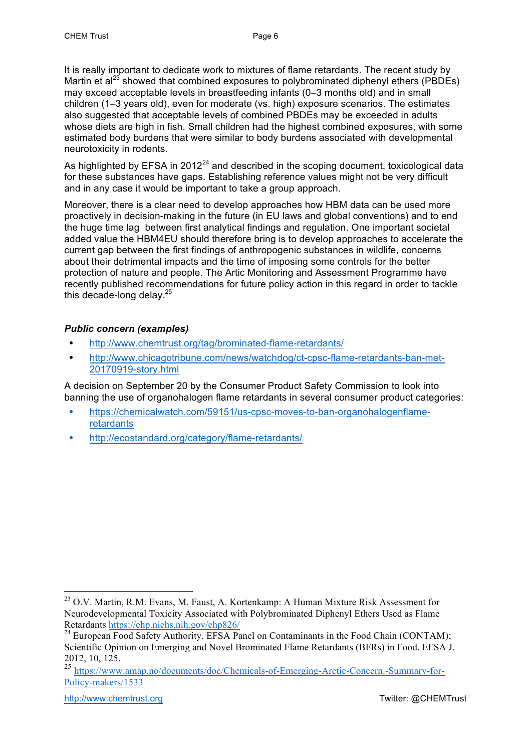It is really important to dedicate work to mixtures of flame retardants. The recent study by Martin et al<sup>23</sup> showed that combined exposures to polybrominated diphenyl ethers (PBDEs) may exceed acceptable levels in breastfeeding infants (0–3 months old) and in small children (1–3 years old), even for moderate (vs. high) exposure scenarios. The estimates also suggested that acceptable levels of combined PBDEs may be exceeded in adults whose diets are high in fish. Small children had the highest combined exposures, with some estimated body burdens that were similar to body burdens associated with developmental neurotoxicity in rodents.

As highlighted by EFSA in  $2012<sup>24</sup>$  and described in the scoping document, toxicological data for these substances have gaps. Establishing reference values might not be very difficult and in any case it would be important to take a group approach.

Moreover, there is a clear need to develop approaches how HBM data can be used more proactively in decision-making in the future (in EU laws and global conventions) and to end the huge time lag between first analytical findings and regulation. One important societal added value the HBM4EU should therefore bring is to develop approaches to accelerate the current gap between the first findings of anthropogenic substances in wildlife, concerns about their detrimental impacts and the time of imposing some controls for the better protection of nature and people. The Artic Monitoring and Assessment Programme have recently published recommendations for future policy action in this regard in order to tackle this decade-long delay.<sup>25</sup>

#### *Public concern (examples)*

- **•** http://www.chemtrust.org/tag/brominated-flame-retardants/
- **•** http://www.chicagotribune.com/news/watchdog/ct-cpsc-flame-retardants-ban-met-20170919-story.html

A decision on September 20 by the Consumer Product Safety Commission to look into banning the use of organohalogen flame retardants in several consumer product categories:

- **•** https://chemicalwatch.com/59151/us-cpsc-moves-to-ban-organohalogenflameretardants
- **•** http://ecostandard.org/category/flame-retardants/

<sup>&</sup>lt;sup>23</sup> O.V. Martin, R.M. Evans, M. Faust, A. Kortenkamp: A Human Mixture Risk Assessment for Neurodevelopmental Toxicity Associated with Polybrominated Diphenyl Ethers Used as Flame Retardants https://ehp.niehs.nih.gov/ehp826/

<sup>&</sup>lt;sup>24</sup> European Food Safety Authority. EFSA Panel on Contaminants in the Food Chain (CONTAM); Scientific Opinion on Emerging and Novel Brominated Flame Retardants (BFRs) in Food. EFSA J. 2012, 10, 125.

<sup>25</sup> https://www.amap.no/documents/doc/Chemicals-of-Emerging-Arctic-Concern.-Summary-for-Policy-makers/1533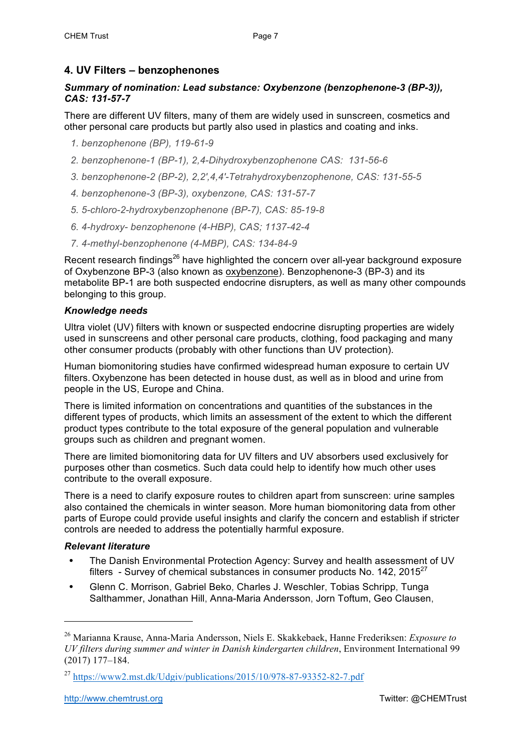# **4. UV Filters – benzophenones**

#### *Summary of nomination: Lead substance: Oxybenzone (benzophenone-3 (BP-3)), CAS: 131-57-7*

There are different UV filters, many of them are widely used in sunscreen, cosmetics and other personal care products but partly also used in plastics and coating and inks.

- *1. benzophenone (BP), 119-61-9*
- *2. benzophenone-1 (BP-1), 2,4-Dihydroxybenzophenone CAS: 131-56-6*
- *3. benzophenone-2 (BP-2), 2,2′,4,4′-Tetrahydroxybenzophenone, CAS: 131-55-5*
- *4. benzophenone-3 (BP-3), oxybenzone, CAS: 131-57-7*
- *5. 5-chloro-2-hydroxybenzophenone (BP-7), CAS: 85-19-8*
- *6. 4-hydroxy- benzophenone (4-HBP), CAS; 1137-42-4*
- *7. 4-methyl-benzophenone (4-MBP), CAS: 134-84-9*

Recent research findings<sup>26</sup> have highlighted the concern over all-year background exposure of Oxybenzone BP-3 (also known as oxybenzone). Benzophenone-3 (BP-3) and its metabolite BP-1 are both suspected endocrine disrupters, as well as many other compounds belonging to this group.

#### *Knowledge needs*

Ultra violet (UV) filters with known or suspected endocrine disrupting properties are widely used in sunscreens and other personal care products, clothing, food packaging and many other consumer products (probably with other functions than UV protection).

Human biomonitoring studies have confirmed widespread human exposure to certain UV filters. Oxybenzone has been detected in house dust, as well as in blood and urine from people in the US, Europe and China.

There is limited information on concentrations and quantities of the substances in the different types of products, which limits an assessment of the extent to which the different product types contribute to the total exposure of the general population and vulnerable groups such as children and pregnant women.

There are limited biomonitoring data for UV filters and UV absorbers used exclusively for purposes other than cosmetics. Such data could help to identify how much other uses contribute to the overall exposure.

There is a need to clarify exposure routes to children apart from sunscreen: urine samples also contained the chemicals in winter season. More human biomonitoring data from other parts of Europe could provide useful insights and clarify the concern and establish if stricter controls are needed to address the potentially harmful exposure.

#### *Relevant literature*

 $\overline{a}$ 

- **•** The Danish Environmental Protection Agency: Survey and health assessment of UV filters - Survey of chemical substances in consumer products No.  $142$ , 2015<sup>27</sup>
- **•** Glenn C. Morrison, Gabriel Beko, Charles J. Weschler, Tobias Schripp, Tunga Salthammer, Jonathan Hill, Anna-Maria Andersson, Jorn Toftum, Geo Clausen,

<sup>26</sup> Marianna Krause, Anna-Maria Andersson, Niels E. Skakkebaek, Hanne Frederiksen: *Exposure to UV filters during summer and winter in Danish kindergarten children*, Environment International 99 (2017) 177–184.

<sup>27</sup> https://www2.mst.dk/Udgiv/publications/2015/10/978-87-93352-82-7.pdf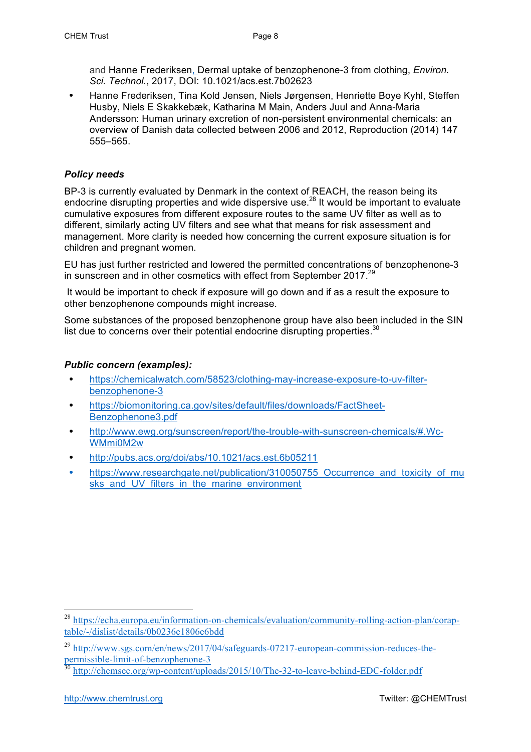and Hanne Frederiksen, Dermal uptake of benzophenone-3 from clothing, *Environ. Sci. Technol.*, 2017, DOI: 10.1021/acs.est.7b02623

**•** Hanne Frederiksen, Tina Kold Jensen, Niels Jørgensen, Henriette Boye Kyhl, Steffen Husby, Niels E Skakkebæk, Katharina M Main, Anders Juul and Anna-Maria Andersson: Human urinary excretion of non-persistent environmental chemicals: an overview of Danish data collected between 2006 and 2012, Reproduction (2014) 147 555–565.

#### *Policy needs*

BP-3 is currently evaluated by Denmark in the context of REACH, the reason being its endocrine disrupting properties and wide dispersive use.<sup>28</sup> It would be important to evaluate cumulative exposures from different exposure routes to the same UV filter as well as to different, similarly acting UV filters and see what that means for risk assessment and management. More clarity is needed how concerning the current exposure situation is for children and pregnant women.

EU has just further restricted and lowered the permitted concentrations of benzophenone-3 in sunscreen and in other cosmetics with effect from September 2017.<sup>29</sup>

It would be important to check if exposure will go down and if as a result the exposure to other benzophenone compounds might increase.

Some substances of the proposed benzophenone group have also been included in the SIN list due to concerns over their potential endocrine disrupting properties. $30$ 

#### *Public concern (examples):*

- **•** https://chemicalwatch.com/58523/clothing-may-increase-exposure-to-uv-filterbenzophenone-3
- **•** https://biomonitoring.ca.gov/sites/default/files/downloads/FactSheet-Benzophenone3.pdf
- **•** http://www.ewg.org/sunscreen/report/the-trouble-with-sunscreen-chemicals/#.Wc-WMmi0M2w
- **•** http://pubs.acs.org/doi/abs/10.1021/acs.est.6b05211
- **•** https://www.researchgate.net/publication/310050755\_Occurrence\_and\_toxicity\_of\_mu sks and UV filters in the marine environment

 <sup>28</sup> https://echa.europa.eu/information-on-chemicals/evaluation/community-rolling-action-plan/coraptable/-/dislist/details/0b0236e1806e6bdd

<sup>&</sup>lt;sup>29</sup> http://www.sgs.com/en/news/2017/04/safeguards-07217-european-commission-reduces-thepermissible-limit-of-benzophenone-3<br>30 https://

http://chemsec.org/wp-content/uploads/2015/10/The-32-to-leave-behind-EDC-folder.pdf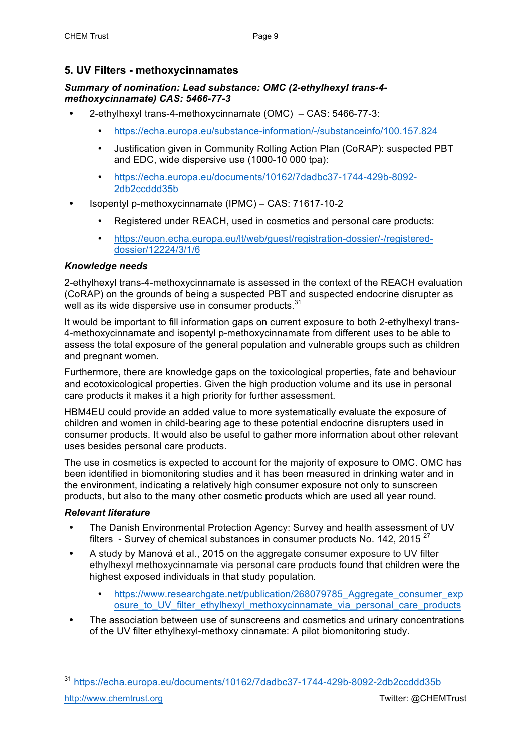# **5. UV Filters - methoxycinnamates**

#### *Summary of nomination: Lead substance: OMC (2-ethylhexyl trans-4 methoxycinnamate) CAS: 5466-77-3*

- **•** 2-ethylhexyl trans-4-methoxycinnamate (OMC) CAS: 5466-77-3:
	- https://echa.europa.eu/substance-information/-/substanceinfo/100.157.824
	- Justification given in Community Rolling Action Plan (CoRAP): suspected PBT and EDC, wide dispersive use (1000-10 000 tpa):
	- https://echa.europa.eu/documents/10162/7dadbc37-1744-429b-8092- 2db2ccddd35b
- **•** Isopentyl p-methoxycinnamate (IPMC) CAS: 71617-10-2
	- Registered under REACH, used in cosmetics and personal care products:
	- https://euon.echa.europa.eu/lt/web/guest/registration-dossier/-/registereddossier/12224/3/1/6

#### *Knowledge needs*

2-ethylhexyl trans-4-methoxycinnamate is assessed in the context of the REACH evaluation (CoRAP) on the grounds of being a suspected PBT and suspected endocrine disrupter as well as its wide dispersive use in consumer products. $31$ 

It would be important to fill information gaps on current exposure to both 2-ethylhexyl trans-4-methoxycinnamate and isopentyl p-methoxycinnamate from different uses to be able to assess the total exposure of the general population and vulnerable groups such as children and pregnant women.

Furthermore, there are knowledge gaps on the toxicological properties, fate and behaviour and ecotoxicological properties. Given the high production volume and its use in personal care products it makes it a high priority for further assessment.

HBM4EU could provide an added value to more systematically evaluate the exposure of children and women in child-bearing age to these potential endocrine disrupters used in consumer products. It would also be useful to gather more information about other relevant uses besides personal care products.

The use in cosmetics is expected to account for the majority of exposure to OMC. OMC has been identified in biomonitoring studies and it has been measured in drinking water and in the environment, indicating a relatively high consumer exposure not only to sunscreen products, but also to the many other cosmetic products which are used all year round.

#### *Relevant literature*

- **•** The Danish Environmental Protection Agency: Survey and health assessment of UV filters - Survey of chemical substances in consumer products No.  $142$ , 2015<sup>27</sup>
- **•** A study by Manová et al., 2015 on the aggregate consumer exposure to UV filter ethylhexyl methoxycinnamate via personal care products found that children were the highest exposed individuals in that study population.
	- https://www.researchgate.net/publication/268079785\_Aggregate\_consumer\_exp osure to UV filter ethylhexyl\_methoxycinnamate\_via\_personal\_care\_products
- **•** The association between use of sunscreens and cosmetics and urinary concentrations of the UV filter ethylhexyl-methoxy cinnamate: A pilot biomonitoring study.

 $\overline{a}$ 

<sup>31</sup> https://echa.europa.eu/documents/10162/7dadbc37-1744-429b-8092-2db2ccddd35b